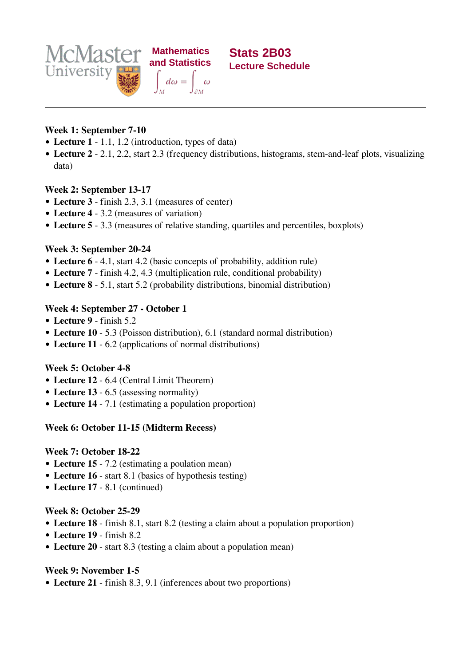

**Stats 2B03 Lecture Schedule**

# **Week 1: September 7-10**

- **Lecture 1** 1.1, 1.2 (introduction, types of data)
- **Lecture 2** 2.1, 2.2, start 2.3 (frequency distributions, histograms, stem-and-leaf plots, visualizing data)

## **Week 2: September 13-17**

- **Lecture 3** finish 2.3, 3.1 (measures of center)
- **Lecture 4** 3.2 (measures of variation)
- **Lecture 5** 3.3 (measures of relative standing, quartiles and percentiles, boxplots)

## **Week 3: September 20-24**

- **Lecture 6** 4.1, start 4.2 (basic concepts of probability, addition rule)
- **Lecture 7** finish 4.2, 4.3 (multiplication rule, conditional probability)
- **Lecture 8** 5.1, start 5.2 (probability distributions, binomial distribution)

## **Week 4: September 27 - October 1**

- **Lecture 9** finish 5.2
- **Lecture 10** 5.3 (Poisson distribution), 6.1 (standard normal distribution)
- **Lecture 11** 6.2 (applications of normal distributions)

#### **Week 5: October 4-8**

- **Lecture 12** 6.4 (Central Limit Theorem)
- **Lecture 13** 6.5 (assessing normality)
- **Lecture 14** 7.1 (estimating a population proportion)

#### **Week 6: October 11-15 (Midterm Recess)**

#### **Week 7: October 18-22**

- **Lecture 15** 7.2 (estimating a poulation mean)
- **Lecture 16** start 8.1 (basics of hypothesis testing)
- **Lecture 17** 8.1 (continued)

#### **Week 8: October 25-29**

- **Lecture 18** finish 8.1, start 8.2 (testing a claim about a population proportion)
- **Lecture 19** finish 8.2
- **Lecture 20** start 8.3 (testing a claim about a population mean)

# **Week 9: November 1-5**

**Lecture 21** - finish 8.3, 9.1 (inferences about two proportions)